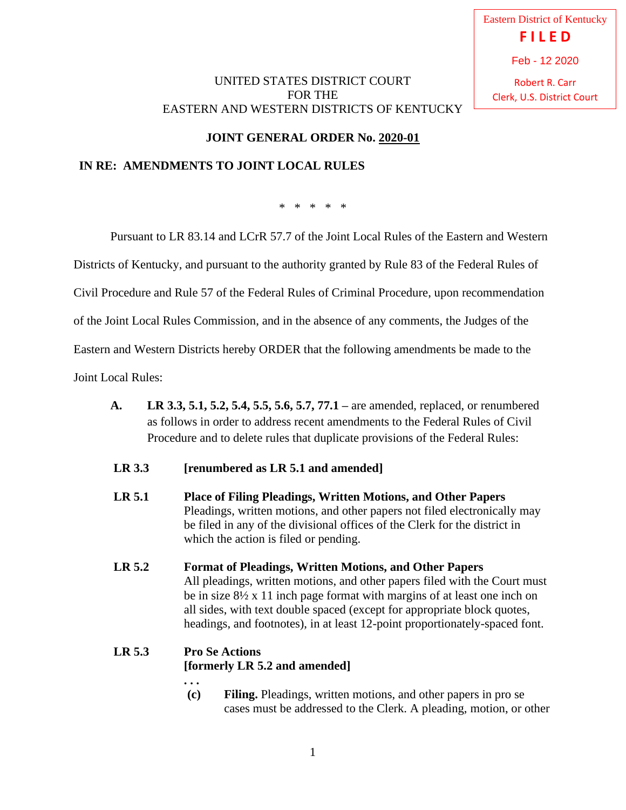Eastern District of Kentucky **F I L E D** Robert R. Carr Feb - 12 2020

Clerk, U.S. District Court

### UNITED STATES DISTRICT COURT FOR THE EASTERN AND WESTERN DISTRICTS OF KENTUCKY

# **JOINT GENERAL ORDER No. 2020-01**

## **IN RE: AMENDMENTS TO JOINT LOCAL RULES**

\* \* \* \* \*

Pursuant to LR 83.14 and LCrR 57.7 of the Joint Local Rules of the Eastern and Western

Districts of Kentucky, and pursuant to the authority granted by Rule 83 of the Federal Rules of

Civil Procedure and Rule 57 of the Federal Rules of Criminal Procedure, upon recommendation

of the Joint Local Rules Commission, and in the absence of any comments, the Judges of the

Eastern and Western Districts hereby ORDER that the following amendments be made to the

Joint Local Rules:

- **A. LR 3.3, 5.1, 5.2, 5.4, 5.5, 5.6, 5.7, 77.1 –** are amended, replaced, or renumbered as follows in order to address recent amendments to the Federal Rules of Civil Procedure and to delete rules that duplicate provisions of the Federal Rules:
- **LR 3.3 [renumbered as LR 5.1 and amended]**
- **LR 5.1 Place of Filing Pleadings, Written Motions, and Other Papers** Pleadings, written motions, and other papers not filed electronically may be filed in any of the divisional offices of the Clerk for the district in which the action is filed or pending.
- **LR 5.2 Format of Pleadings, Written Motions, and Other Papers** All pleadings, written motions, and other papers filed with the Court must be in size 8½ x 11 inch page format with margins of at least one inch on all sides, with text double spaced (except for appropriate block quotes, headings, and footnotes), in at least 12-point proportionately-spaced font.

#### **LR 5.3 Pro Se Actions [formerly LR 5.2 and amended] . . .**

**(c) Filing.** Pleadings, written motions, and other papers in pro se cases must be addressed to the Clerk. A pleading, motion, or other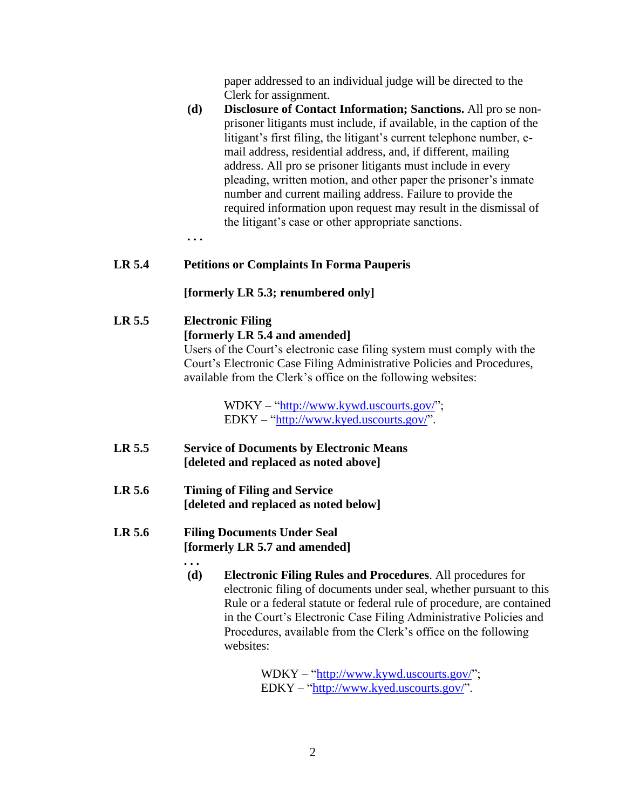paper addressed to an individual judge will be directed to the Clerk for assignment.

**(d) Disclosure of Contact Information; Sanctions.** All pro se nonprisoner litigants must include, if available, in the caption of the litigant's first filing, the litigant's current telephone number, email address, residential address, and, if different, mailing address. All pro se prisoner litigants must include in every pleading, written motion, and other paper the prisoner's inmate number and current mailing address. Failure to provide the required information upon request may result in the dismissal of the litigant's case or other appropriate sanctions.

**. . .**

### **LR 5.4 Petitions or Complaints In Forma Pauperis**

**[formerly LR 5.3; renumbered only]**

#### **LR 5.5 Electronic Filing**

#### **[formerly LR 5.4 and amended]**

Users of the Court's electronic case filing system must comply with the Court's Electronic Case Filing Administrative Policies and Procedures, available from the Clerk's office on the following websites:

> WDKY – "http://www.kywd.uscourts.gov/"; EDKY – "http://www.kyed.uscourts.gov/".

- **LR 5.5 Service of Documents by Electronic Means [deleted and replaced as noted above]**
- **LR 5.6 Timing of Filing and Service [deleted and replaced as noted below]**

#### **LR 5.6 Filing Documents Under Seal [formerly LR 5.7 and amended]**

**. . .**

**(d) Electronic Filing Rules and Procedures**. All procedures for electronic filing of documents under seal, whether pursuant to this Rule or a federal statute or federal rule of procedure, are contained in the Court's Electronic Case Filing Administrative Policies and Procedures, available from the Clerk's office on the following websites:

> WDKY – "http://www.kywd.uscourts.gov/"; EDKY – "http://www.kyed.uscourts.gov/".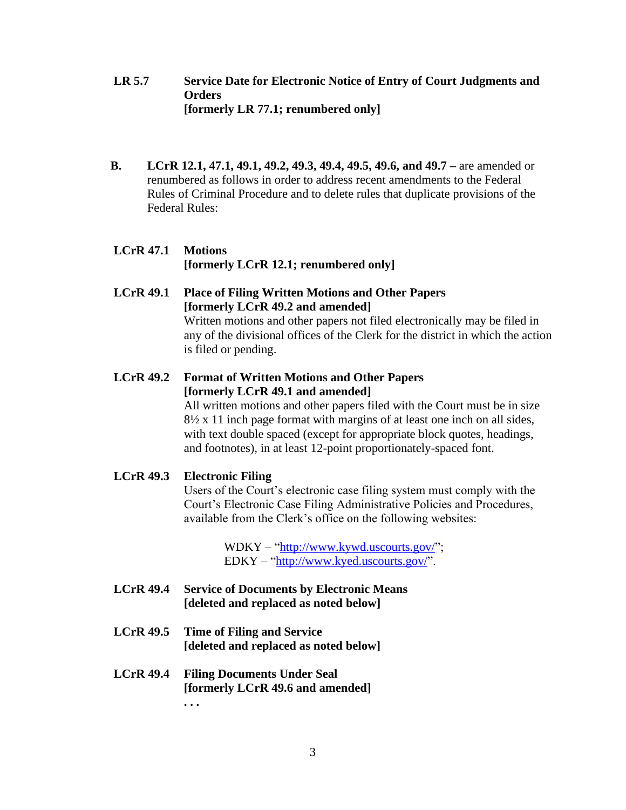- **LR 5.7 Service Date for Electronic Notice of Entry of Court Judgments and Orders [formerly LR 77.1; renumbered only]**
- **B. LCrR 12.1, 47.1, 49.1, 49.2, 49.3, 49.4, 49.5, 49.6, and 49.7 –** are amended or renumbered as follows in order to address recent amendments to the Federal Rules of Criminal Procedure and to delete rules that duplicate provisions of the Federal Rules:
- **LCrR 47.1 Motions [formerly LCrR 12.1; renumbered only]**
- **LCrR 49.1 Place of Filing Written Motions and Other Papers [formerly LCrR 49.2 and amended]** Written motions and other papers not filed electronically may be filed in

any of the divisional offices of the Clerk for the district in which the action is filed or pending.

**LCrR 49.2 Format of Written Motions and Other Papers [formerly LCrR 49.1 and amended]**

All written motions and other papers filed with the Court must be in size 8½ x 11 inch page format with margins of at least one inch on all sides, with text double spaced (except for appropriate block quotes, headings, and footnotes), in at least 12-point proportionately-spaced font.

**LCrR 49.3 Electronic Filing** 

Users of the Court's electronic case filing system must comply with the Court's Electronic Case Filing Administrative Policies and Procedures, available from the Clerk's office on the following websites:

> WDKY – "http://www.kywd.uscourts.gov/"; EDKY – "http://www.kyed.uscourts.gov/".

- **LCrR 49.4 Service of Documents by Electronic Means [deleted and replaced as noted below]**
- **LCrR 49.5 Time of Filing and Service [deleted and replaced as noted below]**
- **LCrR 49.4 Filing Documents Under Seal [formerly LCrR 49.6 and amended] . . .**